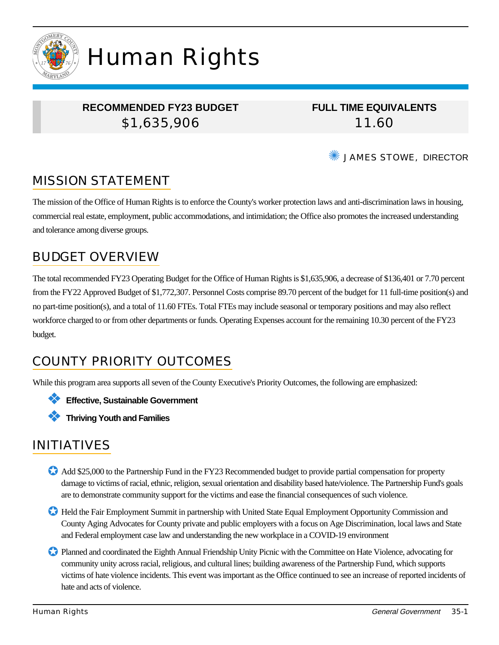

# Human Rights

#### **RECOMMENDED FY23 BUDGET** \$1,635,906

**FULL TIME EQUIVALENTS** 11.60

✺ JAMES STOWE, DIRECTOR

# MISSION STATEMENT

The mission of the Office of Human Rights is to enforce the County's worker protection laws and anti-discrimination laws in housing, commercial real estate, employment, public accommodations, and intimidation; the Office also promotes the increased understanding and tolerance among diverse groups.

### BUDGET OVERVIEW

The total recommended FY23 Operating Budget for the Office of Human Rights is \$1,635,906, a decrease of \$136,401 or 7.70 percent from the FY22 Approved Budget of \$1,772,307. Personnel Costs comprise 89.70 percent of the budget for 11 full-time position(s) and no part-time position(s), and a total of 11.60 FTEs. Total FTEs may include seasonal or temporary positions and may also reflect workforce charged to or from other departments or funds. Operating Expenses account for the remaining 10.30 percent of the FY23 budget.

# COUNTY PRIORITY OUTCOMES

While this program area supports all seven of the County Executive's Priority Outcomes, the following are emphasized:

❖ **Effective, Sustainable Government**

❖ **Thriving Youth and Families**

# INITIATIVES

- Add \$25,000 to the Partnership Fund in the FY23 Recommended budget to provide partial compensation for property damage to victims of racial, ethnic, religion, sexual orientation and disability based hate/violence. The Partnership Fund's goals are to demonstrate community support for the victims and ease the financial consequences of such violence.
- ✪ Held the Fair Employment Summit in partnership with United State Equal Employment Opportunity Commission and County Aging Advocates for County private and public employers with a focus on Age Discrimination, local laws and State and Federal employment case law and understanding the new workplace in a COVID-19 environment

✪ Planned and coordinated the Eighth Annual Friendship Unity Picnic with the Committee on Hate Violence, advocating for community unity across racial, religious, and cultural lines; building awareness of the Partnership Fund, which supports victims of hate violence incidents. This event was important as the Office continued to see an increase of reported incidents of hate and acts of violence.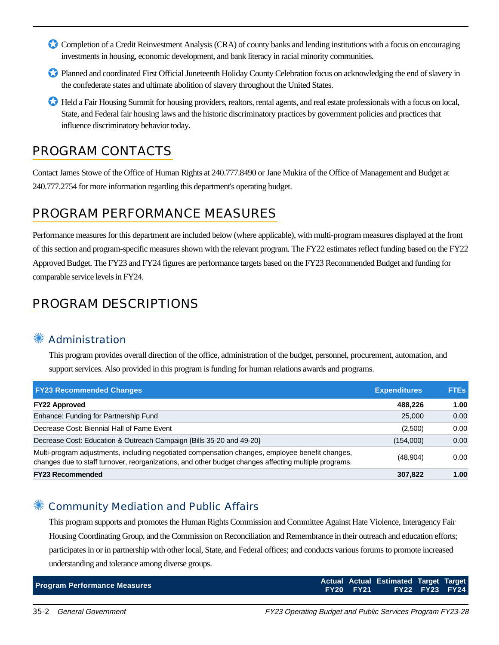- Completion of a Credit Reinvestment Analysis (CRA) of county banks and lending institutions with a focus on encouraging investments in housing, economic development, and bank literacy in racial minority communities.
- ✪ Planned and coordinated First Official Juneteenth Holiday County Celebration focus on acknowledging the end of slavery in the confederate states and ultimate abolition of slavery throughout the United States.
- ✪ Held a Fair Housing Summit for housing providers, realtors, rental agents, and real estate professionals with a focus on local, State, and Federal fair housing laws and the historic discriminatory practices by government policies and practices that influence discriminatory behavior today.

### PROGRAM CONTACTS

Contact James Stowe of the Office of Human Rights at 240.777.8490 or Jane Mukira of the Office of Management and Budget at 240.777.2754 for more information regarding this department's operating budget.

## PROGRAM PERFORMANCE MEASURES

Performance measures for this department are included below (where applicable), with multi-program measures displayed at the front of this section and program-specific measures shown with the relevant program. The FY22 estimates reflect funding based on the FY22 Approved Budget. The FY23 and FY24 figures are performance targets based on the FY23 Recommended Budget and funding for comparable service levels in FY24.

# PROGRAM DESCRIPTIONS

#### **Administration**

This program provides overall direction of the office, administration of the budget, personnel, procurement, automation, and support services. Also provided in this program is funding for human relations awards and programs.

| <b>FY23 Recommended Changes</b>                                                                                                                                                                          | <b>Expenditures</b> | <b>FTEs</b> |
|----------------------------------------------------------------------------------------------------------------------------------------------------------------------------------------------------------|---------------------|-------------|
| <b>FY22 Approved</b>                                                                                                                                                                                     | 488.226             | 1.00        |
| Enhance: Funding for Partnership Fund                                                                                                                                                                    | 25,000              | 0.00        |
| Decrease Cost: Biennial Hall of Fame Event                                                                                                                                                               | (2,500)             | 0.00        |
| Decrease Cost: Education & Outreach Campaign {Bills 35-20 and 49-20}                                                                                                                                     | (154,000)           | 0.00        |
| Multi-program adjustments, including negotiated compensation changes, employee benefit changes,<br>changes due to staff turnover, reorganizations, and other budget changes affecting multiple programs. | (48,904)            | 0.00        |
| <b>FY23 Recommended</b>                                                                                                                                                                                  | 307,822             | 1.00        |

#### Community Mediation and Public Affairs

This program supports and promotes the Human Rights Commission and Committee Against Hate Violence, Interagency Fair Housing Coordinating Group, and the Commission on Reconciliation and Remembrance in their outreach and education efforts; participates in or in partnership with other local, State, and Federal offices; and conducts various forums to promote increased understanding and tolerance among diverse groups.

|                                     |                  | Actual Actual Estimated Target Target |  |
|-------------------------------------|------------------|---------------------------------------|--|
| <b>Program Performance Measures</b> | <b>FY20 FY21</b> | <b>FY22 FY23 FY24</b>                 |  |

35-2 General Government FY23 Operating Budget and Public Services Program FY23-28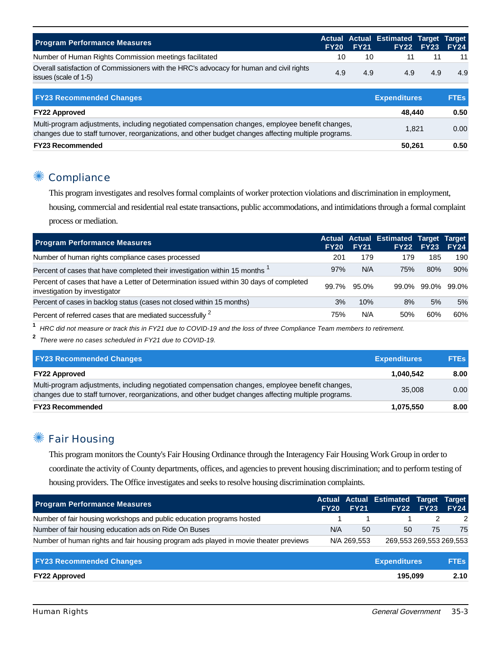| <b>Program Performance Measures</b>                                                                               |     | <b>FY20 FY21</b> | Actual Actual Estimated Target Target | <b>FY22 FY23 FY24</b> |     |
|-------------------------------------------------------------------------------------------------------------------|-----|------------------|---------------------------------------|-----------------------|-----|
| Number of Human Rights Commission meetings facilitated                                                            | 10  | 10               |                                       |                       | 11  |
| Overall satisfaction of Commissioners with the HRC's advocacy for human and civil rights<br>issues (scale of 1-5) | 4.9 | 4.9              | 4.9                                   | 4.9                   | 4.9 |

| <b>FY23 Recommended Changes</b>                                                                                                                                                                          | <b>Expenditures</b> | <b>FTEs</b> |
|----------------------------------------------------------------------------------------------------------------------------------------------------------------------------------------------------------|---------------------|-------------|
| <b>FY22 Approved</b>                                                                                                                                                                                     | 48.440              | 0.50        |
| Multi-program adjustments, including negotiated compensation changes, employee benefit changes,<br>changes due to staff turnover, reorganizations, and other budget changes affecting multiple programs. | 1.821               | 0.00        |
| <b>FY23 Recommended</b>                                                                                                                                                                                  | 50,261              | 0.50        |

#### ✺ Compliance

This program investigates and resolves formal complaints of worker protection violations and discrimination in employment,

housing, commercial and residential real estate transactions, public accommodations, and intimidations through a formal complaint process or mediation.

| <b>Program Performance Measures</b>                                                                                      | <b>FY20</b> | <b>FY21</b> | Actual Actual Estimated Target Target | <b>FY22 FY23</b>  | <b>FY24</b> |
|--------------------------------------------------------------------------------------------------------------------------|-------------|-------------|---------------------------------------|-------------------|-------------|
| Number of human rights compliance cases processed                                                                        | 201         | 179         | 179                                   | 185               | 190         |
| Percent of cases that have completed their investigation within 15 months                                                | 97%         | N/A         | 75%                                   | 80%               | 90%         |
| Percent of cases that have a Letter of Determination issued within 30 days of completed<br>investigation by investigator | 99.7%       | 95.0%       |                                       | 99.0% 99.0% 99.0% |             |
| Percent of cases in backlog status (cases not closed within 15 months)                                                   | 3%          | 10%         | 8%                                    | 5%                | 5%          |
| Percent of referred cases that are mediated successfully 2                                                               | 75%         | N/A         | 50%                                   | 60%               | 60%         |

**1** HRC did not measure or track this in FY21 due to COVID-19 and the loss of three Compliance Team members to retirement.

**2** There were no cases scheduled in FY21 due to COVID-19.

| <b>FY23 Recommended Changes</b>                                                                                                                                                                          | <b>Expenditures</b> | <b>FTEs</b> |
|----------------------------------------------------------------------------------------------------------------------------------------------------------------------------------------------------------|---------------------|-------------|
| <b>FY22 Approved</b>                                                                                                                                                                                     | 1.040.542           | 8.00        |
| Multi-program adjustments, including negotiated compensation changes, employee benefit changes,<br>changes due to staff turnover, reorganizations, and other budget changes affecting multiple programs. | 35,008              | 0.00        |
| <b>FY23 Recommended</b>                                                                                                                                                                                  | 1,075,550           | 8.00        |

#### ✺ Fair Housing

This program monitors the County's Fair Housing Ordinance through the Interagency Fair Housing Work Group in order to coordinate the activity of County departments, offices, and agencies to prevent housing discrimination; and to perform testing of housing providers. The Office investigates and seeks to resolve housing discrimination complaints.

| <b>Program Performance Measures</b>                                                  | <b>FY20</b> | <b>FY21</b> | Actual Actual Estimated Target Target<br><b>FY22</b> | <b>FY23</b> | <b>FY24</b> |
|--------------------------------------------------------------------------------------|-------------|-------------|------------------------------------------------------|-------------|-------------|
| Number of fair housing workshops and public education programs hosted                |             |             |                                                      |             | 2           |
| Number of fair housing education ads on Ride On Buses                                | N/A         | 50          | 50                                                   | 75          | 75          |
| Number of human rights and fair housing program ads played in movie theater previews |             | N/A 269.553 | 269,553 269,553 269,553                              |             |             |
| <b>FY23 Recommended Changes</b>                                                      |             |             | <b>Expenditures</b>                                  |             | <b>FTEs</b> |

**FY22 Approved 195,099 2.10**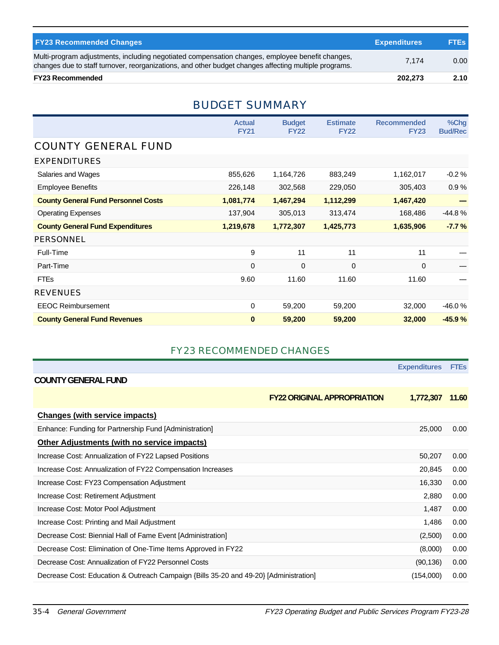| <b>FY23 Recommended Changes</b>                                                                                                                                                                          | <b>Expenditures</b> | <b>FTES</b> |
|----------------------------------------------------------------------------------------------------------------------------------------------------------------------------------------------------------|---------------------|-------------|
| Multi-program adjustments, including negotiated compensation changes, employee benefit changes,<br>changes due to staff turnover, reorganizations, and other budget changes affecting multiple programs. | 7.174               | 0.00        |
| <b>FY23 Recommended</b>                                                                                                                                                                                  | 202.273             | 2.10        |

#### BUDGET SUMMARY

|                                            | <b>Actual</b><br><b>FY21</b> | <b>Budget</b><br><b>FY22</b> | <b>Estimate</b><br><b>FY22</b> | <b>Recommended</b><br><b>FY23</b> | %Chg<br><b>Bud/Rec</b> |
|--------------------------------------------|------------------------------|------------------------------|--------------------------------|-----------------------------------|------------------------|
| <b>COUNTY GENERAL FUND</b>                 |                              |                              |                                |                                   |                        |
| <b>EXPENDITURES</b>                        |                              |                              |                                |                                   |                        |
| Salaries and Wages                         | 855,626                      | 1,164,726                    | 883,249                        | 1,162,017                         | $-0.2%$                |
| <b>Employee Benefits</b>                   | 226,148                      | 302,568                      | 229,050                        | 305,403                           | 0.9%                   |
| <b>County General Fund Personnel Costs</b> | 1,081,774                    | 1,467,294                    | 1,112,299                      | 1,467,420                         |                        |
| <b>Operating Expenses</b>                  | 137,904                      | 305,013                      | 313,474                        | 168,486                           | $-44.8%$               |
| <b>County General Fund Expenditures</b>    | 1,219,678                    | 1,772,307                    | 1,425,773                      | 1,635,906                         | $-7.7%$                |
| <b>PERSONNEL</b>                           |                              |                              |                                |                                   |                        |
| Full-Time                                  | 9                            | 11                           | 11                             | 11                                |                        |
| Part-Time                                  | 0                            | 0                            | 0                              | 0                                 |                        |
| <b>FTEs</b>                                | 9.60                         | 11.60                        | 11.60                          | 11.60                             |                        |
| <b>REVENUES</b>                            |                              |                              |                                |                                   |                        |
| <b>EEOC Reimbursement</b>                  | 0                            | 59,200                       | 59,200                         | 32,000                            | $-46.0%$               |
| <b>County General Fund Revenues</b>        | $\bf{0}$                     | 59,200                       | 59,200                         | 32,000                            | $-45.9%$               |

#### FY23 RECOMMENDED CHANGES

|                                                                                       |                                    | <b>Expenditures</b> | <b>FTEs</b> |
|---------------------------------------------------------------------------------------|------------------------------------|---------------------|-------------|
| <b>COUNTY GENERAL FUND</b>                                                            |                                    |                     |             |
|                                                                                       | <b>FY22 ORIGINAL APPROPRIATION</b> | 1,772,307           | 11.60       |
| <b>Changes (with service impacts)</b>                                                 |                                    |                     |             |
| Enhance: Funding for Partnership Fund [Administration]                                |                                    | 25,000              | 0.00        |
| Other Adjustments (with no service impacts)                                           |                                    |                     |             |
| Increase Cost: Annualization of FY22 Lapsed Positions                                 |                                    | 50,207              | 0.00        |
| Increase Cost: Annualization of FY22 Compensation Increases                           |                                    | 20,845              | 0.00        |
| Increase Cost: FY23 Compensation Adjustment                                           |                                    | 16,330              | 0.00        |
| Increase Cost: Retirement Adjustment                                                  |                                    | 2,880               | 0.00        |
| Increase Cost: Motor Pool Adjustment                                                  |                                    | 1,487               | 0.00        |
| Increase Cost: Printing and Mail Adjustment                                           |                                    | 1,486               | 0.00        |
| Decrease Cost: Biennial Hall of Fame Event [Administration]                           |                                    | (2,500)             | 0.00        |
| Decrease Cost: Elimination of One-Time Items Approved in FY22                         |                                    | (8,000)             | 0.00        |
| Decrease Cost: Annualization of FY22 Personnel Costs                                  |                                    | (90, 136)           | 0.00        |
| Decrease Cost: Education & Outreach Campaign {Bills 35-20 and 49-20} [Administration] |                                    | (154,000)           | 0.00        |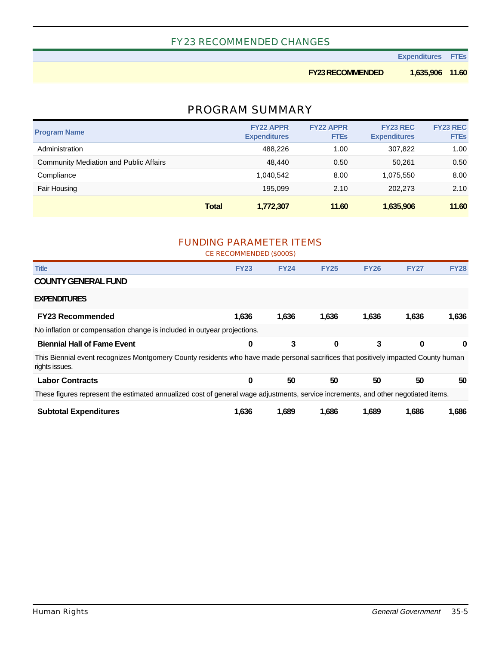#### FY23 RECOMMENDED CHANGES

**Expenditures FTEs**

**FY23 RECOMMENDED 1,635,906 11.60**

#### PROGRAM SUMMARY

| <b>Program Name</b>                           | <b>FY22 APPR</b><br><b>Expenditures</b> | <b>FY22 APPR</b><br><b>FTEs</b> | <b>FY23 REC</b><br><b>Expenditures</b> | <b>FY23 REC</b><br><b>FTEs</b> |
|-----------------------------------------------|-----------------------------------------|---------------------------------|----------------------------------------|--------------------------------|
| Administration                                | 488.226                                 | 1.00                            | 307.822                                | 1.00                           |
| <b>Community Mediation and Public Affairs</b> | 48,440                                  | 0.50                            | 50.261                                 | 0.50                           |
| Compliance                                    | 1.040.542                               | 8.00                            | 1,075,550                              | 8.00                           |
| Fair Housing                                  | 195.099                                 | 2.10                            | 202.273                                | 2.10                           |
|                                               | <b>Total</b><br>1,772,307               | 11.60                           | 1,635,906                              | 11.60                          |

#### FUNDING PARAMETER ITEMS CE RECOMMENDED (\$000S)

| <b>Title</b>                                                                                                                                         | <b>FY23</b> | <b>FY24</b> | <b>FY25</b> | <b>FY26</b> | <b>FY27</b> | <b>FY28</b> |
|------------------------------------------------------------------------------------------------------------------------------------------------------|-------------|-------------|-------------|-------------|-------------|-------------|
| <b>COUNTY GENERAL FUND</b>                                                                                                                           |             |             |             |             |             |             |
| <b>EXPENDITURES</b>                                                                                                                                  |             |             |             |             |             |             |
| <b>FY23 Recommended</b>                                                                                                                              | 1.636       | 1,636       | 1,636       | 1,636       | 1,636       | 1.636       |
| No inflation or compensation change is included in outyear projections.                                                                              |             |             |             |             |             |             |
| <b>Biennial Hall of Fame Event</b>                                                                                                                   | 0           | 3           | $\bf{0}$    | 3           | 0           | 0           |
| This Biennial event recognizes Montgomery County residents who have made personal sacrifices that positively impacted County human<br>rights issues. |             |             |             |             |             |             |
| <b>Labor Contracts</b>                                                                                                                               | 0           | 50          | 50          | 50          | 50          | 50          |
| These figures represent the estimated annualized cost of general wage adjustments, service increments, and other negotiated items.                   |             |             |             |             |             |             |
| <b>Subtotal Expenditures</b>                                                                                                                         | 1.636       | 1,689       | 1,686       | 1,689       | 1,686       | 1,686       |